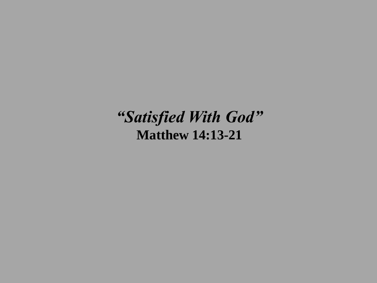*"Satisfied With God"* **Matthew 14:13-21**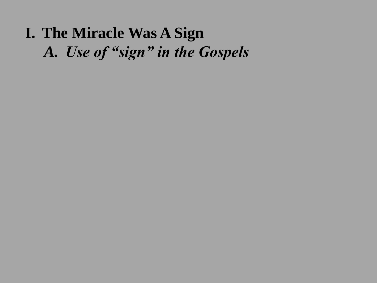# **I. The Miracle Was A Sign** *A. Use of "sign" in the Gospels*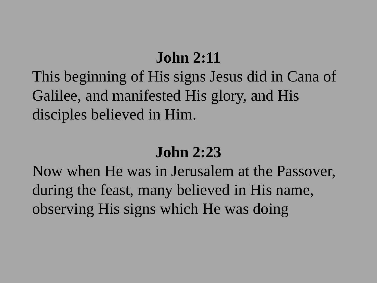### **John 2:11**

This beginning of His signs Jesus did in Cana of Galilee, and manifested His glory, and His disciples believed in Him.

## **John 2:23**

Now when He was in Jerusalem at the Passover, during the feast, many believed in His name, observing His signs which He was doing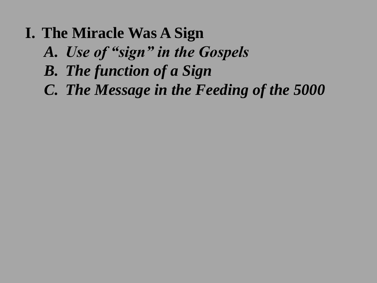- **I. The Miracle Was A Sign**
	- *A. Use of "sign" in the Gospels*
	- *B. The function of a Sign*
	- *C. The Message in the Feeding of the 5000*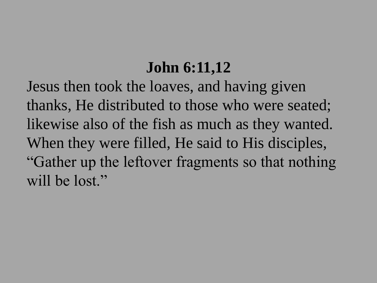## **John 6:11,12**

Jesus then took the loaves, and having given thanks, He distributed to those who were seated; likewise also of the fish as much as they wanted. When they were filled, He said to His disciples, "Gather up the leftover fragments so that nothing will be lost."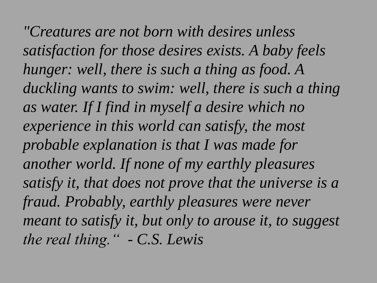*"Creatures are not born with desires unless satisfaction for those desires exists. A baby feels hunger: well, there is such a thing as food. A duckling wants to swim: well, there is such a thing as water. If I find in myself a desire which no experience in this world can satisfy, the most probable explanation is that I was made for another world. If none of my earthly pleasures satisfy it, that does not prove that the universe is a fraud. Probably, earthly pleasures were never meant to satisfy it, but only to arouse it, to suggest the real thing." - C.S. Lewis*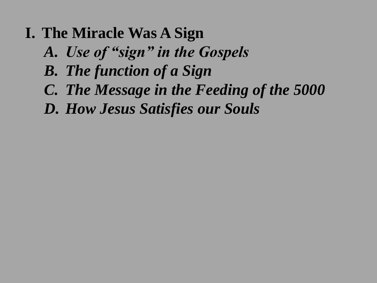- **I. The Miracle Was A Sign**
	- *A. Use of "sign" in the Gospels*
	- *B. The function of a Sign*
	- *C. The Message in the Feeding of the 5000*
	- *D. How Jesus Satisfies our Souls*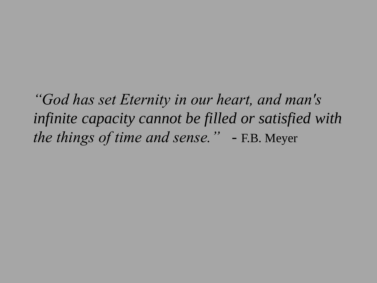*"God has set Eternity in our heart, and man's infinite capacity cannot be filled or satisfied with the things of time and sense."* - F.B. Meyer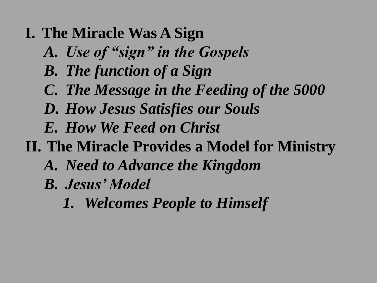- **I. The Miracle Was A Sign**
	- *A. Use of "sign" in the Gospels*
	- *B. The function of a Sign*
	- *C. The Message in the Feeding of the 5000*
	- *D. How Jesus Satisfies our Souls*
	- *E. How We Feed on Christ*
- **II. The Miracle Provides a Model for Ministry**
	- *A. Need to Advance the Kingdom*
	- *B. Jesus' Model*
		- *1. Welcomes People to Himself*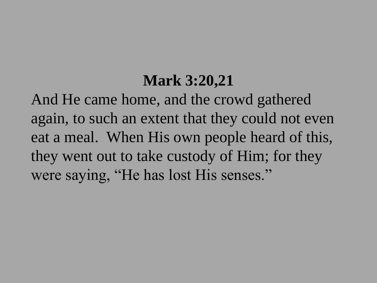### **Mark 3:20,21**

And He came home, and the crowd gathered again, to such an extent that they could not even eat a meal. When His own people heard of this, they went out to take custody of Him; for they were saying, "He has lost His senses."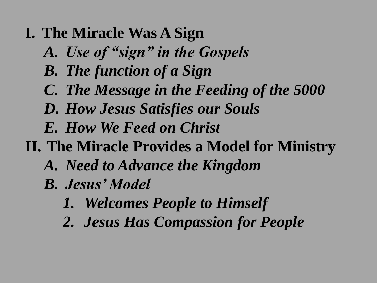- **I. The Miracle Was A Sign**
	- *A. Use of "sign" in the Gospels*
	- *B. The function of a Sign*
	- *C. The Message in the Feeding of the 5000*
	- *D. How Jesus Satisfies our Souls*
	- *E. How We Feed on Christ*
- **II. The Miracle Provides a Model for Ministry**
	- *A. Need to Advance the Kingdom*
	- *B. Jesus' Model*
		- *1. Welcomes People to Himself*
		- *2. Jesus Has Compassion for People*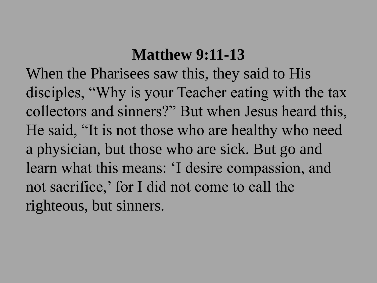### **Matthew 9:11-13**

When the Pharisees saw this, they said to His disciples, "Why is your Teacher eating with the tax collectors and sinners?" But when Jesus heard this, He said, "It is not those who are healthy who need a physician, but those who are sick. But go and learn what this means: 'I desire compassion, and not sacrifice,' for I did not come to call the righteous, but sinners.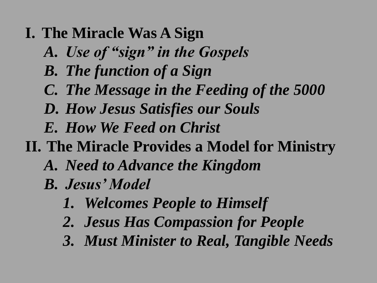- **I. The Miracle Was A Sign**
	- *A. Use of "sign" in the Gospels*
	- *B. The function of a Sign*
	- *C. The Message in the Feeding of the 5000*
	- *D. How Jesus Satisfies our Souls*
	- *E. How We Feed on Christ*
- **II. The Miracle Provides a Model for Ministry**
	- *A. Need to Advance the Kingdom*
	- *B. Jesus' Model*
		- *1. Welcomes People to Himself*
		- *2. Jesus Has Compassion for People*
		- *3. Must Minister to Real, Tangible Needs*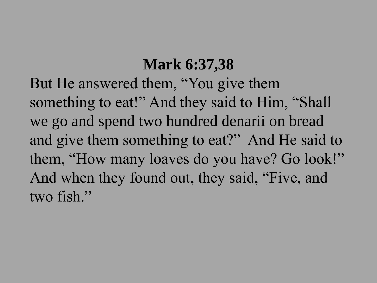## **Mark 6:37,38**

But He answered them, "You give them something to eat!" And they said to Him, "Shall we go and spend two hundred denarii on bread and give them something to eat?" And He said to them, "How many loaves do you have? Go look!" And when they found out, they said, "Five, and two fish."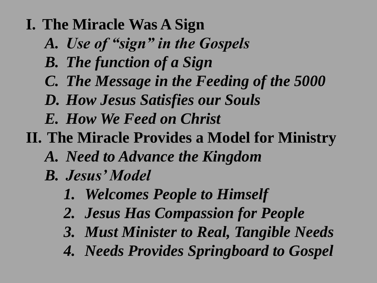- **I. The Miracle Was A Sign**
	- *A. Use of "sign" in the Gospels*
	- *B. The function of a Sign*
	- *C. The Message in the Feeding of the 5000*
	- *D. How Jesus Satisfies our Souls*
	- *E. How We Feed on Christ*
- **II. The Miracle Provides a Model for Ministry**
	- *A. Need to Advance the Kingdom*
	- *B. Jesus' Model*
		- *1. Welcomes People to Himself*
		- *2. Jesus Has Compassion for People*
		- *3. Must Minister to Real, Tangible Needs*
		- *4. Needs Provides Springboard to Gospel*